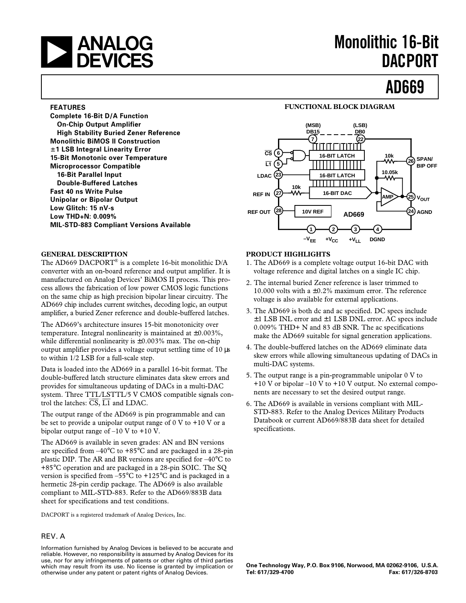# **and Monolithic 16-Bit**<br> **DEVICES**

# **DACPORT**

## **AD669**

#### **FEATURES**

**Complete 16-Bit D/A Function On-Chip Output Amplifier High Stability Buried Zener Reference Monolithic BiMOS II Construction** 6**1 LSB Integral Linearity Error 15-Bit Monotonic over Temperature Microprocessor Compatible 16-Bit Parallel Input Double-Buffered Latches Fast 40 ns Write Pulse Unipolar or Bipolar Output Low Glitch: 15 nV-s Low THD+N: 0.009% MIL-STD-883 Compliant Versions Available**

#### **GENERAL DESCRIPTION**

The AD669 DACPORT® is a complete 16-bit monolithic D/A converter with an on-board reference and output amplifier. It is manufactured on Analog Devices' BiMOS II process. This process allows the fabrication of low power CMOS logic functions on the same chip as high precision bipolar linear circuitry. The AD669 chip includes current switches, decoding logic, an output amplifier, a buried Zener reference and double-buffered latches.

The AD669's architecture insures 15-bit monotonicity over temperature. Integral nonlinearity is maintained at  $\pm 0.003\%$ , while differential nonlinearity is  $\pm 0.003\%$  max. The on-chip output amplifier provides a voltage output settling time of 10 µs to within 1/2 LSB for a full-scale step.

Data is loaded into the AD669 in a parallel 16-bit format. The double-buffered latch structure eliminates data skew errors and provides for simultaneous updating of DACs in a multi-DAC system. Three TTL/LSTTL/5 V CMOS compatible signals control the latches:  $\overline{CS}$ ,  $\overline{LI}$  and LDAC.

The output range of the AD669 is pin programmable and can be set to provide a unipolar output range of 0 V to +10 V or a bipolar output range of –10 V to +10 V.

The AD669 is available in seven grades: AN and BN versions are specified from –40°C to +85°C and are packaged in a 28-pin plastic DIP. The AR and BR versions are specified for –40°C to +85°C operation and are packaged in a 28-pin SOIC. The SQ version is specified from  $-55^{\circ}$ C to  $+125^{\circ}$ C and is packaged in a hermetic 28-pin cerdip package. The AD669 is also available compliant to MIL-STD-883. Refer to the AD669/883B data sheet for specifications and test conditions.

DACPORT is a registered trademark of Analog Devices, Inc.

#### REV. A

Information furnished by Analog Devices is believed to be accurate and reliable. However, no responsibility is assumed by Analog Devices for its use, nor for any infringements of patents or other rights of third parties which may result from its use. No license is granted by implication or otherwise under any patent or patent rights of Analog Devices.

#### **FUNCTIONAL BLOCK DIAGRAM**



#### **PRODUCT HIGHLIGHTS**

- 1. The AD669 is a complete voltage output 16-bit DAC with voltage reference and digital latches on a single IC chip.
- 2. The internal buried Zener reference is laser trimmed to 10.000 volts with a  $\pm$ 0.2% maximum error. The reference voltage is also available for external applications.
- 3. The AD669 is both dc and ac specified. DC specs include ±1 LSB INL error and ±1 LSB DNL error. AC specs include 0.009% THD+ N and 83 dB SNR. The ac specifications make the AD669 suitable for signal generation applications.
- 4. The double-buffered latches on the AD669 eliminate data skew errors while allowing simultaneous updating of DACs in multi-DAC systems.
- 5. The output range is a pin-programmable unipolar 0 V to  $+10$  V or bipolar  $-10$  V to  $+10$  V output. No external components are necessary to set the desired output range.
- 6. The AD669 is available in versions compliant with MIL-STD-883. Refer to the Analog Devices Military Products Databook or current AD669/883B data sheet for detailed specifications.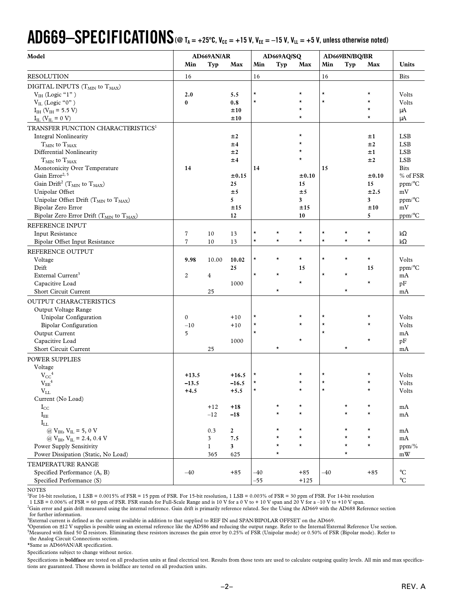## $\bf{AD669{\rm -}SPEC}$  **FICATIONS** (@ T<sub>A</sub> = +25°C, V<sub>CC</sub> = +15 V, V<sub>EE</sub> = -15 V, V<sub>LL</sub> = +5 V, unless otherwise noted)

| Model                                                            |                | AD669AN/AR   |                         |          | AD669AQ/SQ |          |          | AD669BN/BQ/BR |          |                      |
|------------------------------------------------------------------|----------------|--------------|-------------------------|----------|------------|----------|----------|---------------|----------|----------------------|
|                                                                  | Min            | Typ          | Max                     | Min      | Typ        | Max      | Min      | Typ           | Max      | Units                |
| <b>RESOLUTION</b>                                                | 16             |              |                         | 16       |            |          | 16       |               |          | <b>Bits</b>          |
| DIGITAL INPUTS $(T_{MIN}$ to $T_{MAX}$ )                         |                |              |                         |          |            |          |          |               |          |                      |
| $VIH$ (Logic "1")                                                | 2.0            |              | 5.5                     | $^\star$ |            |          | $\star$  |               |          | Volts                |
| $V_{IL}$ (Logic "0")                                             | $\bf{0}$       |              | 0.8                     | $\star$  |            | $\star$  | $\star$  |               | $\star$  | Volts                |
| $I_{IH}$ (V <sub>IH</sub> = 5.5 V)                               |                |              | ±10                     |          |            | $^\star$ |          |               | $^\star$ | $\mu A$              |
| $I_{IL}$ ( $V_{IL}$ = 0 V)                                       |                |              | ±10                     |          |            | $\star$  |          |               | $\star$  | $\mu A$              |
| TRANSFER FUNCTION CHARACTERISTICS <sup>1</sup>                   |                |              |                         |          |            |          |          |               |          |                      |
| <b>Integral Nonlinearity</b>                                     |                |              | ±2                      |          |            | $^\star$ |          |               | ±1       | <b>LSB</b>           |
| $T_{\rm MIN}$ to $T_{\rm MAX}$                                   |                |              | ±4                      |          |            | $\star$  |          |               | ±2       | <b>LSB</b>           |
| Differential Nonlinearity                                        |                |              | ±2                      |          |            | $^\star$ |          |               | ±1       | <b>LSB</b>           |
| $T_{MIN}$ to $T_{MAX}$                                           |                |              | ±4                      |          |            | $\star$  |          |               | ±2       | <b>LSB</b>           |
| Monotonicity Over Temperature                                    | 14             |              |                         | 14       |            |          | 15       |               |          | <b>Bits</b>          |
| Gain Error <sup>2, 5</sup>                                       |                |              | $\pm 0.15$              |          |            | ±0.10    |          |               | ±0.10    | % of FSR             |
| Gain Drift <sup>2</sup> ( $T_{MIN}$ to $T_{MAX}$ )               |                |              | 25                      |          |            | 15       |          |               | 15       | ppm/°C               |
| Unipolar Offset                                                  |                |              | ±5                      |          |            | ±5       |          |               | ±2.5     | mV                   |
| Unipolar Offset Drift (T <sub>MIN</sub> to T <sub>MAX</sub> )    |                |              | 5                       |          |            | 3        |          |               | 3        | ppm/°C               |
| Bipolar Zero Error                                               |                |              | ±15                     |          |            | ±15      |          |               | ±10      | mV                   |
| Bipolar Zero Error Drift (T <sub>MIN</sub> to T <sub>MAX</sub> ) |                |              | 12                      |          |            | 10       |          |               | 5        | $ppm$ <sup>o</sup> C |
| REFERENCE INPUT                                                  |                |              |                         |          |            |          |          |               |          |                      |
| <b>Input Resistance</b>                                          | $\overline{7}$ | 10           | 13                      | $\star$  | $^\star$   | $^\star$ | $\star$  | $^\star$      | $^\star$ | $k\Omega$            |
| Bipolar Offset Input Resistance                                  | $\overline{7}$ | 10           | 13                      | $\star$  | $\star$    | $\star$  | $\star$  | $\star$       | $\star$  | $k\Omega$            |
| REFERENCE OUTPUT                                                 |                |              |                         |          |            |          |          |               |          |                      |
| Voltage                                                          | 9.98           | 10.00        | 10.02                   | $\star$  | $\star$    | $\star$  | $\star$  | $\star$       | $\star$  | Volts                |
| Drift                                                            |                |              | 25                      |          |            | 15       |          |               | 15       | ppm/°C               |
| External Current <sup>3</sup>                                    | $\overline{c}$ | 4            |                         | $\star$  | $\star$    |          | $\star$  | $\star$       |          | mA                   |
| Capacitive Load                                                  |                |              | 1000                    |          |            | $\star$  |          |               | $\star$  | pF                   |
| Short Circuit Current                                            |                | 25           |                         |          | $\star$    |          |          | $\star$       |          | mA                   |
|                                                                  |                |              |                         |          |            |          |          |               |          |                      |
| OUTPUT CHARACTERISTICS                                           |                |              |                         |          |            |          |          |               |          |                      |
| Output Voltage Range                                             |                |              |                         | $^\star$ |            | $^\star$ | $^\star$ |               |          |                      |
| Unipolar Configuration                                           | $\mathbf{0}$   |              | $+10$                   | $^\star$ |            | $^\star$ | $\star$  |               |          | Volts                |
| <b>Bipolar Configuration</b>                                     | $-10\,$        |              | $+10$                   | $\star$  |            |          | $\star$  |               |          | Volts                |
| Output Current                                                   | 5              |              |                         |          |            | $\star$  |          |               | $\star$  | mA                   |
| Capacitive Load                                                  |                |              | 1000                    |          |            |          |          |               |          | pF                   |
| Short Circuit Current                                            |                | 25           |                         |          | $^\star$   |          |          | $^\star$      |          | mA                   |
| POWER SUPPLIES                                                   |                |              |                         |          |            |          |          |               |          |                      |
| Voltage                                                          |                |              |                         |          |            |          |          |               |          |                      |
| $V_{CC}$ <sup>4</sup>                                            | $+13.5$        |              | $+16.5$                 |          |            |          | $\star$  |               |          | Volts                |
| $\rm V_{EE}^{-4}$                                                | $-13.5$        |              | $-16.5$                 | $^\star$ |            |          | $\star$  |               |          | Volts                |
| $V_{LL}$                                                         | $+4.5$         |              | $+5.5$                  |          |            |          |          |               |          | Volts                |
| Current (No Load)                                                |                |              |                         |          |            |          |          |               |          |                      |
| $I_{\rm CC}$                                                     |                | $+12$        | $+18$                   |          | $^\star$   | $\star$  |          | $\star$       | $^\star$ | mA                   |
| $I_{EE}$                                                         |                | $-12$        | $-18$                   |          | $\star$    | $\star$  |          | $\star$       | $\star$  | mA                   |
| $I_{LL}$                                                         |                |              |                         |          |            |          |          |               |          |                      |
| @ $V_{IH}$ , $V_{IL}$ = 5, 0 V                                   |                | 0.3          | $\overline{\mathbf{c}}$ |          | $^\star$   | $\star$  |          | $^\star$      | $\star$  | mA                   |
| @ $V_{IH}$ , $V_{IL}$ = 2.4, 0.4 V                               |                | $\mathbf{3}$ | 7.5                     |          | $\star$    | $\star$  |          | $^\star$      | $\star$  | mA                   |
| Power Supply Sensitivity                                         |                | $\mathbf{1}$ | $\mathbf{3}$            |          | $\star$    | $\star$  |          | $\star$       | $\star$  | ppm/%                |
| Power Dissipation (Static, No Load)                              |                | 365          | 625                     |          | $^\star$   |          |          | $\star$       |          | mW                   |
| TEMPERATURE RANGE                                                |                |              |                         |          |            |          |          |               |          |                      |
| Specified Performance (A, B)                                     | $-40$          |              | $+85$                   | $-40$    |            | $+85$    | $-40$    |               | $+85$    | $^{\circ}{\rm C}$    |
| Specified Performance (S)                                        |                |              |                         | $-55$    |            | $+125$   |          |               |          | $^{\circ}C$          |

NOTES

<sup>1</sup>For 16-bit resolution, 1 LSB = 0.0015% of FSR = 15 ppm of FSR. For 15-bit resolution, 1 LSB = 0.003% of FSR = 30 ppm of FSR. For 14-bit resolution

1 LSB = 0.006% of FSR = 60 ppm of FSR. FSR stands for Full-Scale Range and is 10 V for a 0 V to + 10 V span and 20 V for a –10 V to +10 V span.

2 Gain error and gain drift measured using the internal reference. Gain drift is primarily reference related. See the Using the AD669 with the AD688 Reference section for further information.

3 External current is defined as the current available in addition to that supplied to REF IN and SPAN/BIPOLAR OFFSET on the AD669.

4 Operation on ±12 V supplies is possible using an external reference like the AD586 and reducing the output range. Refer to the Internal/External Reference Use section. 5 Measured with fixed 50 Ω resistors. Eliminating these resistors increases the gain error by 0.25% of FSR (Unipolar mode) or 0.50% of FSR (Bipolar mode). Refer to the Analog Circuit Connections section.

\*Same as AD669AN/AR specification.

Specifications subject to change without notice.

Specifications in **boldface** are tested on all production units at final electrical test. Results from those tests are used to calculate outgoing quality levels. All min and max specifications are guaranteed. Those shown in boldface are tested on all production units.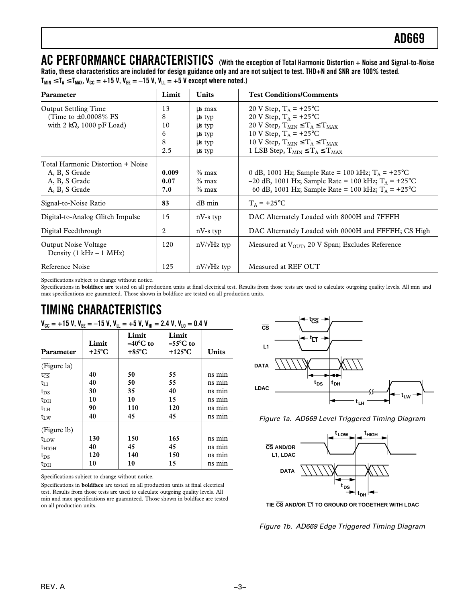**AC PERFORMANCE CHARACTERISTICS (With the exception of Total Harmonic Distortion + Noise and Signal-to-Noise Ratio, these characteristics are included for design guidance only and are not subject to test. THD+N and SNR are 100% tested.**  $T_{MIN} \le T_A \le T_{MAX}$ ,  $V_{CC} = +15$  V,  $V_{EE} = -15$  V,  $V_{LL} = +5$  V except where noted.)

| Parameter                                                                                      | Limit                          | <b>Units</b>                                             | <b>Test Conditions/Comments</b>                                                                                                                                                                                          |
|------------------------------------------------------------------------------------------------|--------------------------------|----------------------------------------------------------|--------------------------------------------------------------------------------------------------------------------------------------------------------------------------------------------------------------------------|
| <b>Output Settling Time</b><br>(Time to $\pm 0.0008\%$ FS<br>with 2 k $\Omega$ , 1000 pF Load) | 13<br>8<br>10<br>6<br>8<br>2.5 | us max<br>us typ<br>us typ<br>us typ<br>us typ<br>us typ | 20 V Step, $T_A = +25$ °C<br>20 V Step, $T_A = +25$ °C<br>20 V Step, $T_{MIN} \le T_A \le T_{MAX}$<br>10 V Step, $T_A = +25$ °C<br>10 V Step, $T_{MIN} \le T_A \le T_{MAX}$<br>1 LSB Step, $T_{MIN} \le T_A \le T_{MAX}$ |
| Total Harmonic Distortion + Noise<br>A, B, S Grade<br>A, B, S Grade<br>A, B, S Grade           | 0.009<br>0.07<br>7.0           | $\%$ max<br>$%$ max<br>$\%$ max                          | 0 dB, 1001 Hz; Sample Rate = 100 kHz; $T_A$ = +25 <sup>o</sup> C<br>$-20$ dB, 1001 Hz; Sample Rate = 100 kHz; T <sub>A</sub> = +25 <sup>o</sup> C<br>-60 dB, 1001 Hz; Sample Rate = 100 kHz; $T_A$ = +25°C               |
| Signal-to-Noise Ratio                                                                          | 83                             | $dB$ min                                                 | $T_A$ = +25°C                                                                                                                                                                                                            |
| Digital-to-Analog Glitch Impulse                                                               | 15                             | $nV-s$ typ                                               | DAC Alternately Loaded with 8000H and 7FFFH                                                                                                                                                                              |
| Digital Feedthrough                                                                            | 2                              | $nV-s$ typ                                               | DAC Alternately Loaded with 0000H and FFFFH; CS High                                                                                                                                                                     |
| Output Noise Voltage<br>Density $(1 kHz - 1 MHz)$                                              | 120                            | $nV/\sqrt{Hz}$ typ                                       | Measured at $V_{\text{OUT}}$ , 20 V Span; Excludes Reference                                                                                                                                                             |
| Reference Noise                                                                                | 125                            | $nV/\sqrt{Hz}$ typ                                       | Measured at REF OUT                                                                                                                                                                                                      |

Specifications subject to change without notice.

Specifications in **boldface are** tested on all production units at final electrical test. Results from those tests are used to calculate outgoing quality levels. All min and max specifications are guaranteed. Those shown in boldface are tested on all production units.

## **TIMING CHARACTERISTICS**

| $V_{\text{cc}} = +15$ V, $V_{\text{FF}} = -15$ V, $V_{\text{H}} = +5$ V, $V_{\text{H}} = 2.4$ V, $V_{\text{H}} = 0.4$ V |                         |                                                |                                          |              |  |
|-------------------------------------------------------------------------------------------------------------------------|-------------------------|------------------------------------------------|------------------------------------------|--------------|--|
| Parameter                                                                                                               | Limit<br>$+25^{\circ}C$ | Limit<br>$-40^{\circ}$ C to<br>$+85^{\circ}$ C | Limit<br>$-55^{\circ}$ C to<br>$+125$ °C | <b>Units</b> |  |
| (Figure la)                                                                                                             |                         |                                                |                                          |              |  |
| $t_{\overline{CS}}$                                                                                                     | 40                      | 50                                             | 55                                       | ns min       |  |
| $t_{\overline{\text{LI}}}$                                                                                              | 40                      | 50                                             | 55                                       | ns min       |  |
| $t_{DS}$                                                                                                                | 30                      | 35                                             | 40                                       | ns min       |  |
| $t_{\rm DH}$                                                                                                            | 10                      | 10                                             | 15                                       | ns min       |  |
| $t_{LH}$                                                                                                                | 90                      | 110                                            | 120                                      | ns min       |  |
| $t_{\rm LW}$                                                                                                            | 40                      | 45                                             | 45                                       | ns min       |  |
| (Figure lb)                                                                                                             |                         |                                                |                                          |              |  |
| $t_{LOW}$                                                                                                               | 130                     | 150                                            | 165                                      | ns min       |  |
| $t_{\rm HIGH}$                                                                                                          | 40                      | 45                                             | 45                                       | ns min       |  |
| $t_{DS}$                                                                                                                | 120                     | 140                                            | 150                                      | ns min       |  |
| $t_{\rm DH}$                                                                                                            | 10                      | 10                                             | 15                                       | ns min       |  |

Specifications subject to change without notice.

Specifications in **boldface** are tested on all production units at final electrical test. Results from those tests are used to calculate outgoing quality levels. All min and max specifications are guaranteed. Those shown in boldface are tested on all production units.



Figure 1a. AD669 Level Triggered Timing Diagram





Figure 1b. AD669 Edge Triggered Timing Diagram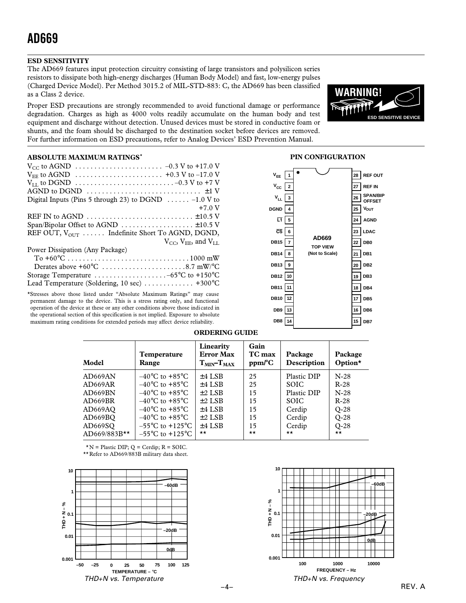### **ESD SENSITIVITY**

The AD669 features input protection circuitry consisting of large transistors and polysilicon series resistors to dissipate both high-energy discharges (Human Body Model) and fast, low-energy pulses (Charged Device Model). Per Method 3015.2 of MIL-STD-883: C, the AD669 has been classified as a Class 2 device.

Proper ESD precautions are strongly recommended to avoid functional damage or performance degradation. Charges as high as 4000 volts readily accumulate on the human body and test equipment and discharge without detection. Unused devices must be stored in conductive foam or shunts, and the foam should be discharged to the destination socket before devices are removed. For further information on ESD precautions, refer to Analog Devices' ESD Prevention Manual.



#### **ABSOLUTE MAXIMUM RATINGS\***

| $V_{CC}$ to AGND $\ldots \ldots \ldots \ldots \ldots \ldots \ldots \ldots \ldots \ldots \ldots$ -0.3 V to +17.0 V |
|-------------------------------------------------------------------------------------------------------------------|
| $V_{EE}$ to AGND $\ldots \ldots \ldots \ldots \ldots \ldots \ldots \ldots \ldots +0.3$ V to -17.0 V               |
| $V_{LL}$ to DGND $\ldots \ldots \ldots \ldots \ldots \ldots \ldots \ldots \ldots \ldots \ldots$ -0.3 V to +7 V    |
| AGND to DGND $\dots \dots \dots \dots \dots \dots \dots \dots \dots \dots \pm 1$ V                                |
| Digital Inputs (Pins 5 through 23) to DGND $\ldots \ldots -1.0$ V to                                              |
| $+7.0V$                                                                                                           |
| REF IN to AGND $\dots \dots \dots \dots \dots \dots \dots \dots \dots \pm 10.5$ V                                 |
| Span/Bipolar Offset to AGND $\dots \dots \dots \dots \dots \dots \pm 10.5$ V                                      |
| REF OUT, $V_{\text{OUT}}$ Indefinite Short To AGND, DGND,                                                         |
| $V_{CC}$ , $V_{EE}$ , and $V_{LL}$                                                                                |
| Power Dissipation (Any Package)                                                                                   |
|                                                                                                                   |
| Derates above $+60^{\circ}$ C 8.7 mW/°C                                                                           |
|                                                                                                                   |
| Lead Temperature (Soldering, 10 sec)  +300°C                                                                      |
|                                                                                                                   |

\*Stresses above those listed under "Absolute Maximum Ratings" may cause permanent damage to the device. This is a stress rating only, and functional operation of the device at these or any other conditions above those indicated in the operational section of this specification is not implied. Exposure to absolute maximum rating conditions for extended periods may affect device reliability.

#### **DB15 DB14 DB13 DB12 DB11 DB10 12 DB9 DB8 14 DGND VEE**  $V_{\text{cc}}$ **VLL CS L1 1 2 3 4 5 6 7 8 9 10 11 13 28 REF OUT 27 REF IN 26 25 24 23 LDAC 22 DB0 21 DB1 20 DB2 19 DB3 18 DB4 17 DB5 16 DB6 15 DB7 TOP VIEW (Not to Scale) AGND AD669 V**<sub>OUT</sub> **SPAN/BIP OFFSET**

**PIN CONFIGURATION**

#### **ORDERING GUIDE**

| Model          | Temperature<br>Range                | Linearity<br><b>Error Max</b><br>$TMIN-TMAX$ | Gain<br>TC max<br>$ppm$ <sup>o</sup> $C$ | Package<br>Description | Package<br>Option* |
|----------------|-------------------------------------|----------------------------------------------|------------------------------------------|------------------------|--------------------|
| AD669AN        | $-40^{\circ}$ C to $+85^{\circ}$ C  | $±4$ LSB                                     | 25                                       | Plastic DIP            | $N-28$             |
| AD669AR        | $-40^{\circ}$ C to $+85^{\circ}$ C  | $±4$ LSB                                     | 25                                       | <b>SOIC</b>            | $R-28$             |
| AD669BN        | $-40^{\circ}$ C to $+85^{\circ}$ C  | $±2$ LSB                                     | 15                                       | Plastic DIP            | $N-28$             |
| AD669BR        | $-40^{\circ}$ C to $+85^{\circ}$ C  | $±2$ LSB                                     | 15                                       | <b>SOIC</b>            | $R-28$             |
| AD669AO        | $-40^{\circ}$ C to $+85^{\circ}$ C  | $±4$ LSB                                     | 15                                       | Cerdip                 | $O-28$             |
| AD669BO        | $-40^{\circ}$ C to $+85^{\circ}$ C  | $\pm 2$ LSB                                  | 15                                       | Cerdip                 | $O-28$             |
| AD669SQ        | $-55^{\circ}$ C to $+125^{\circ}$ C | $±4$ LSB                                     | 15                                       | Cerdip                 | $O-28$             |
| $AD669/883B**$ | $-55^{\circ}$ C to $+125^{\circ}$ C | $\star\star$                                 | $\star\star$                             | $\star\star$           | $\star\star$       |

 $*N$  = Plastic DIP; Q = Cerdip; R = SOIC.

\*\*Refer to AD669/883B military data sheet.



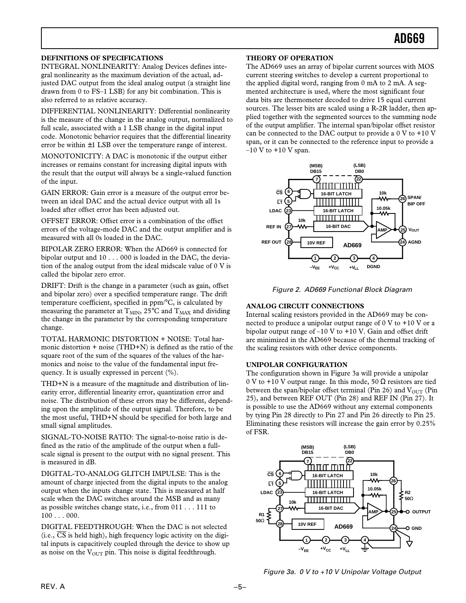#### **DEFINITIONS OF SPECIFICATIONS**

INTEGRAL NONLINEARITY: Analog Devices defines integral nonlinearity as the maximum deviation of the actual, adjusted DAC output from the ideal analog output (a straight line drawn from 0 to FS–1 LSB) for any bit combination. This is also referred to as relative accuracy.

DIFFERENTIAL NONLINEARITY: Differential nonlinearity is the measure of the change in the analog output, normalized to full scale, associated with a 1 LSB change in the digital input code. Monotonic behavior requires that the differential linearity error be within  $\pm 1$  LSB over the temperature range of interest.

MONOTONICITY: A DAC is monotonic if the output either increases or remains constant for increasing digital inputs with the result that the output will always be a single-valued function of the input.

GAIN ERROR: Gain error is a measure of the output error between an ideal DAC and the actual device output with all 1s loaded after offset error has been adjusted out.

OFFSET ERROR: Offset error is a combination of the offset errors of the voltage-mode DAC and the output amplifier and is measured with all 0s loaded in the DAC.

BIPOLAR ZERO ERROR: When the AD669 is connected for bipolar output and 10 . . . 000 is loaded in the DAC, the deviation of the analog output from the ideal midscale value of 0 V is called the bipolar zero error.

DRIFT: Drift is the change in a parameter (such as gain, offset and bipolar zero) over a specified temperature range. The drift temperature coefficient, specified in ppm/°C, is calculated by measuring the parameter at  $T_{MIN}$ , 25°C and  $T_{MAX}$  and dividing the change in the parameter by the corresponding temperature change.

TOTAL HARMONIC DISTORTION + NOISE: Total harmonic distortion + noise (THD+N) is defined as the ratio of the square root of the sum of the squares of the values of the harmonics and noise to the value of the fundamental input frequency. It is usually expressed in percent (%).

THD+N is a measure of the magnitude and distribution of linearity error, differential linearity error, quantization error and noise. The distribution of these errors may be different, depending upon the amplitude of the output signal. Therefore, to be the most useful, THD+N should be specified for both large and small signal amplitudes.

SIGNAL-TO-NOISE RATIO: The signal-to-noise ratio is defined as the ratio of the amplitude of the output when a fullscale signal is present to the output with no signal present. This is measured in dB.

DIGITAL-TO-ANALOG GLITCH IMPULSE: This is the amount of charge injected from the digital inputs to the analog output when the inputs change state. This is measured at half scale when the DAC switches around the MSB and as many as possible switches change state, i.e., from 011 . . . 111 to 100 . . . 000.

DIGITAL FEEDTHROUGH: When the DAC is not selected (i.e.,  $\overline{CS}$  is held high), high frequency logic activity on the digital inputs is capacitively coupled through the device to show up as noise on the  $V_{\text{OUT}}$  pin. This noise is digital feedthrough.

#### **THEORY OF OPERATION**

The AD669 uses an array of bipolar current sources with MOS current steering switches to develop a current proportional to the applied digital word, ranging from 0 mA to 2 mA. A segmented architecture is used, where the most significant four data bits are thermometer decoded to drive 15 equal current sources. The lesser bits are scaled using a R-2R ladder, then applied together with the segmented sources to the summing node of the output amplifier. The internal span/bipolar offset resistor can be connected to the DAC output to provide a 0 V to +10 V span, or it can be connected to the reference input to provide a  $-10$  V to  $+10$  V span.



Figure 2. AD669 Functional Block Diagram

#### **ANALOG CIRCUIT CONNECTIONS**

Internal scaling resistors provided in the AD669 may be connected to produce a unipolar output range of 0 V to +10 V or a bipolar output range of  $-10$  V to  $+10$  V. Gain and offset drift are minimized in the AD669 because of the thermal tracking of the scaling resistors with other device components.

#### **UNIPOLAR CONFIGURATION**

The configuration shown in Figure 3a will provide a unipolar 0 V to +10 V output range. In this mode, 50  $\Omega$  resistors are tied between the span/bipolar offset terminal (Pin 26) and  $V_{\text{OUT}}$  (Pin 25), and between REF OUT (Pin 28) and REF IN (Pin 27). It is possible to use the AD669 without any external components by tying Pin 28 directly to Pin 27 and Pin 26 directly to Pin 25. Eliminating these resistors will increase the gain error by 0.25% of FSR.



Figure 3a. 0 V to +10 V Unipolar Voltage Output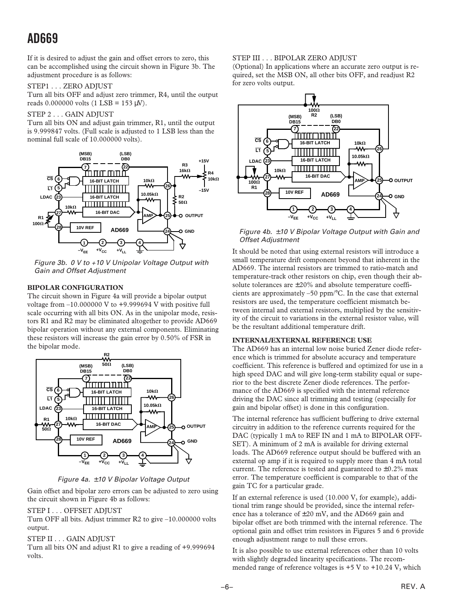If it is desired to adjust the gain and offset errors to zero, this can be accomplished using the circuit shown in Figure 3b. The adjustment procedure is as follows:

#### STEP1 . . . ZERO ADJUST

Turn all bits OFF and adjust zero trimmer, R4, until the output reads  $0.000000$  volts  $(1$  LSB = 153  $\mu$ V).

#### STEP 2 . . . GAIN ADJUST

Turn all bits ON and adjust gain trimmer, R1, until the output is 9.999847 volts. (Full scale is adjusted to 1 LSB less than the nominal full scale of 10.000000 volts).



Figure 3b. 0 V to +10 V Unipolar Voltage Output with Gain and Offset Adjustment

#### **BIPOLAR CONFIGURATION**

The circuit shown in Figure 4a will provide a bipolar output voltage from –10.000000 V to +9.999694 V with positive full scale occurring with all bits ON. As in the unipolar mode, resistors R1 and R2 may be eliminated altogether to provide AD669 bipolar operation without any external components. Eliminating these resistors will increase the gain error by 0.50% of FSR in the bipolar mode.



Figure 4a. ±10 V Bipolar Voltage Output

Gain offset and bipolar zero errors can be adjusted to zero using the circuit shown in Figure 4b as follows:

#### STEP I . . . OFFSET ADJUST

Turn OFF all bits. Adjust trimmer R2 to give –10.000000 volts output.

#### STEP II . . . GAIN ADJUST

Turn all bits ON and adjust R1 to give a reading of +9.999694 volts.

#### STEP III . . . BIPOLAR ZERO ADJUST

(Optional) In applications where an accurate zero output is required, set the MSB ON, all other bits OFF, and readjust R2 for zero volts output.



Figure 4b.  $\pm$ 10 V Bipolar Voltage Output with Gain and Offset Adjustment

It should be noted that using external resistors will introduce a small temperature drift component beyond that inherent in the AD669. The internal resistors are trimmed to ratio-match and temperature-track other resistors on chip, even though their absolute tolerances are  $\pm 20\%$  and absolute temperature coefficients are approximately –50 ppm/°C. In the case that external resistors are used, the temperature coefficient mismatch between internal and external resistors, multiplied by the sensitivity of the circuit to variations in the external resistor value, will be the resultant additional temperature drift.

#### **INTERNAL/EXTERNAL REFERENCE USE**

The AD669 has an internal low noise buried Zener diode reference which is trimmed for absolute accuracy and temperature coefficient. This reference is buffered and optimized for use in a high speed DAC and will give long-term stability equal or superior to the best discrete Zener diode references. The performance of the AD669 is specified with the internal reference driving the DAC since all trimming and testing (especially for gain and bipolar offset) is done in this configuration.

The internal reference has sufficient buffering to drive external circuitry in addition to the reference currents required for the DAC (typically 1 mA to REF IN and 1 mA to BIPOLAR OFF-SET). A minimum of 2 mA is available for driving external loads. The AD669 reference output should be buffered with an external op amp if it is required to supply more than 4 mA total current. The reference is tested and guaranteed to  $\pm 0.2\%$  max error. The temperature coefficient is comparable to that of the gain TC for a particular grade.

If an external reference is used (10.000 V, for example), additional trim range should be provided, since the internal reference has a tolerance of  $\pm 20$  mV, and the AD669 gain and bipolar offset are both trimmed with the internal reference. The optional gain and offset trim resistors in Figures 5 and 6 provide enough adjustment range to null these errors.

It is also possible to use external references other than 10 volts with slightly degraded linearity specifications. The recommended range of reference voltages is  $+5$  V to  $+10.24$  V, which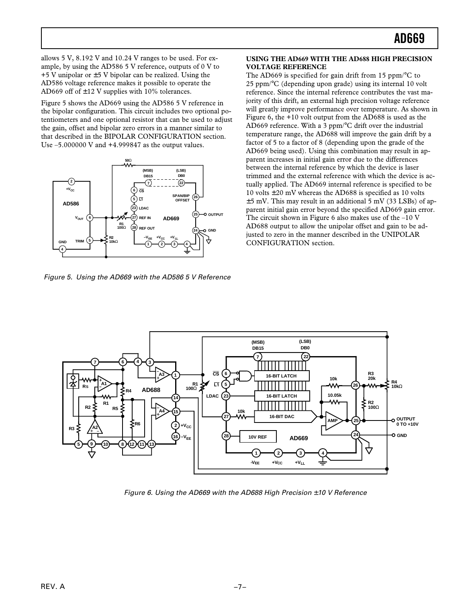allows 5 V, 8.192 V and 10.24 V ranges to be used. For example, by using the AD586 5 V reference, outputs of 0 V to  $+5$  V unipolar or  $\pm$  5 V bipolar can be realized. Using the AD586 voltage reference makes it possible to operate the AD669 off of  $\pm$ 12 V supplies with 10% tolerances.

Figure 5 shows the AD669 using the AD586 5 V reference in the bipolar configuration. This circuit includes two optional potentiometers and one optional resistor that can be used to adjust the gain, offset and bipolar zero errors in a manner similar to that described in the BIPOLAR CONFIGURATION section. Use –5.000000 V and +4.999847 as the output values.



Figure 5. Using the AD669 with the AD586 5 V Reference

#### **USING THE AD669 WITH THE AD688 HIGH PRECISION VOLTAGE REFERENCE**

The AD669 is specified for gain drift from 15 ppm/°C to 25 ppm/°C (depending upon grade) using its internal 10 volt reference. Since the internal reference contributes the vast majority of this drift, an external high precision voltage reference will greatly improve performance over temperature. As shown in Figure 6, the +10 volt output from the AD688 is used as the AD669 reference. With a 3 ppm/°C drift over the industrial temperature range, the AD688 will improve the gain drift by a factor of 5 to a factor of 8 (depending upon the grade of the AD669 being used). Using this combination may result in apparent increases in initial gain error due to the differences between the internal reference by which the device is laser trimmed and the external reference with which the device is actually applied. The AD669 internal reference is specified to be 10 volts  $\pm 20$  mV whereas the AD688 is specified as 10 volts  $\pm$ 5 mV. This may result in an additional 5 mV (33 LSBs) of apparent initial gain error beyond the specified AD669 gain error. The circuit shown in Figure 6 also makes use of the  $-10$  V AD688 output to allow the unipolar offset and gain to be adjusted to zero in the manner described in the UNIPOLAR CONFIGURATION section.



Figure 6. Using the AD669 with the AD688 High Precision  $\pm$  10 V Reference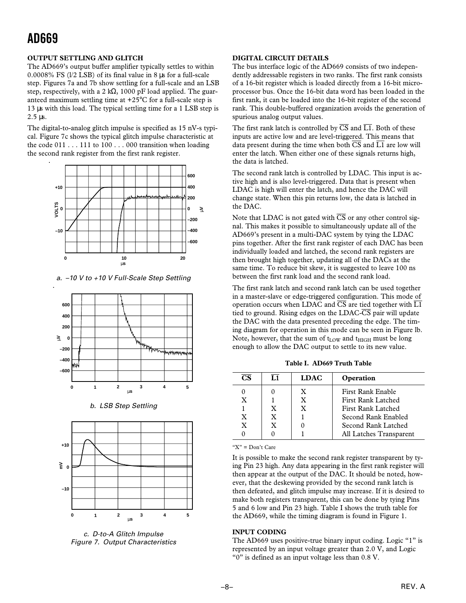#### **OUTPUT SETTLING AND GLITCH**

The AD669's output buffer amplifier typically settles to within 0.0008% FS (l/2 LSB) of its final value in 8 µs for a full-scale step. Figures 7a and 7b show settling for a full-scale and an LSB step, respectively, with a 2 k $\Omega$ , 1000 pF load applied. The guaranteed maximum settling time at +25°C for a full-scale step is 13 µs with this load. The typical settling time for a 1 LSB step is 2.5 µs.

The digital-to-analog glitch impulse is specified as 15 nV-s typical. Figure 7c shows the typical glitch impulse characteristic at the code  $011 \ldots 111$  to  $100 \ldots 000$  transition when loading the second rank register from the first rank register.



a. –10 V to +10 V Full-Scale Step Settling



b. LSB Step Settling



c. D-to-A Glitch Impulse Figure 7. Output Characteristics

#### **DIGITAL CIRCUIT DETAILS**

The bus interface logic of the AD669 consists of two independently addressable registers in two ranks. The first rank consists of a 16-bit register which is loaded directly from a 16-bit microprocessor bus. Once the 16-bit data word has been loaded in the first rank, it can be loaded into the 16-bit register of the second rank. This double-buffered organization avoids the generation of spurious analog output values.

The first rank latch is controlled by  $\overline{CS}$  and  $\overline{L1}$ . Both of these inputs are active low and are level-triggered. This means that data present during the time when both  $\overline{CS}$  and  $\overline{LI}$  are low will enter the latch. When either one of these signals returns high, the data is latched.

The second rank latch is controlled by LDAC. This input is active high and is also level-triggered. Data that is present when LDAC is high will enter the latch, and hence the DAC will change state. When this pin returns low, the data is latched in the DAC.

Note that LDAC is not gated with  $\overline{CS}$  or any other control signal. This makes it possible to simultaneously update all of the AD669's present in a multi-DAC system by tying the LDAC pins together. After the first rank register of each DAC has been individually loaded and latched, the second rank registers are then brought high together, updating all of the DACs at the same time. To reduce bit skew, it is suggested to leave 100 ns between the first rank load and the second rank load.

The first rank latch and second rank latch can be used together in a master-slave or edge-triggered configuration. This mode of operation occurs when LDAC and  $\overline{CS}$  are tied together with  $\overline{LI}$ tied to ground. Rising edges on the LDAC- $\overline{\text{CS}}$  pair will update the DAC with the data presented preceding the edge. The timing diagram for operation in this mode can be seen in Figure lb. Note, however, that the sum of t<sub>LOW</sub> and t<sub>HIGH</sub> must be long enough to allow the DAC output to settle to its new value.

**Table I. AD669 Truth Table**

| CS.          | L1 | <b>LDAC</b> | Operation               |
|--------------|----|-------------|-------------------------|
|              |    | X           | First Rank Enable       |
| x            |    | X           | First Rank Latched      |
|              | X  | X           | First Rank Latched      |
| X            | X  |             | Second Rank Enabled     |
| $\mathbf{X}$ | X  |             | Second Rank Latched     |
|              |    |             | All Latches Transparent |

"X" = Don't Care

It is possible to make the second rank register transparent by tying Pin 23 high. Any data appearing in the first rank register will then appear at the output of the DAC. It should be noted, however, that the deskewing provided by the second rank latch is then defeated, and glitch impulse may increase. If it is desired to make both registers transparent, this can be done by tying Pins 5 and 6 low and Pin 23 high. Table I shows the truth table for the AD669, while the timing diagram is found in Figure 1.

#### **INPUT CODING**

The AD669 uses positive-true binary input coding. Logic "1" is represented by an input voltage greater than 2.0 V, and Logic "0" is defined as an input voltage less than 0.8 V.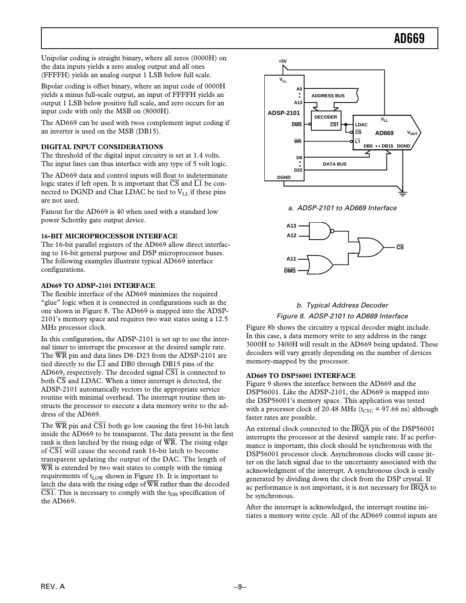Unipolar coding is straight binary, where all zeros (0000H) on the data inputs yields a zero analog output and all ones (FFFFH) yields an analog output 1 LSB below full scale.

Bipolar coding is offset binary, where an input code of 0000H yields a minus full-scale output, an input of FFFFH yields an output 1 LSB below positive full scale, and zero occurs for an input code with only the MSB on (8000H).

The AD669 can be used with twos complement input coding if an inverter is used on the MSB (DB15).

#### **DIGITAL INPUT CONSIDERATIONS**

The threshold of the digital input circuitry is set at 1.4 volts. The input lines can thus interface with any type of 5 volt logic.

The AD669 data and control inputs will float to indeterminate logic states if left open. It is important that  $\overline{CS}$  and  $\overline{L1}$  be connected to DGND and Chat LDAC be tied to VLL if these pins are not used.

Fanout for the AD669 is 40 when used with a standard low power Schottky gate output device.

#### **16-BIT MICROPROCESSOR INTERFACE**

The 16-bit parallel registers of the AD669 allow direct interfacing to 16-bit general purpose and DSP microprocessor buses. The following examples illustrate typical AD669 interface configurations.

#### **AD669 TO ADSP-2101 INTERFACE**

The flexible interface of the AD669 minimizes the required "glue" logic when it is connected in configurations such as the one shown in Figure 8. The AD669 is mapped into the ADSP-2101's memory space and requires two wait states using a 12.5 MHz processor clock.

In this configuration, the ADSP-2101 is set up to use the internal timer to interrupt the processor at the desired sample rate. The WR pin and data lines D8–D23 from the ADSP-2101 are tied directly to the  $\overline{L1}$  and DB0 through DB15 pins of the AD669, respectively. The decoded signal  $\overline{CS1}$  is connected to both  $\overline{\text{CS}}$  and LDAC. When a timer interrupt is detected, the ADSP-2101 automatically vectors to the appropriate service routine with minimal overhead. The interrupt routine then instructs the processor to execute a data memory write to the address of the AD669.

The  $\overline{WR}$  pin and  $\overline{CS1}$  both go low causing the first 16-bit latch inside the AD669 to be transparent. The data present in the first rank is then latched by the rising edge of  $\overline{WR}$ . The rising edge of  $\overline{CS1}$  will cause the second rank 16-bit latch to become transparent updating the output of the DAC. The length of WR is extended by two wait states to comply with the timing requirements of  $t_{\text{LOW}}$  shown in Figure 1b. It is important to latch the data with the rising edge of WR rather than the decoded  $\overline{CS1}$ . This is necessary to comply with the t<sub>DH</sub> specification of the AD669.



a. ADSP-2101 to AD669 Interface



### b. Typical Address Decoder Figure 8. ADSP-2101 to AD669 Interface

Figure 8b shows the circuitry a typical decoder might include. In this case, a data memory write to any address in the range 3000H to 3400H will result in the AD669 being updated. These decoders will vary greatly depending on the number of devices memory-mapped by the processor.

#### **AD669 TO DSP56001 INTERFACE**

Figure 9 shows the interface between the AD669 and the DSP56001. Like the ADSP-2101, the AD669 is mapped into the DSP56001's memory space. This application was tested with a processor clock of 20.48 MHz ( $t_{CYC}$  = 97.66 ns) although faster rates are possible.

An external clock connected to the  $\overline{\text{IRQA}}$  pin of the DSP56001 interrupts the processor at the desired sample rate. If ac performance is important, this clock should be synchronous with the DSP56001 processor clock. Asynchronous clocks will cause jitter on the latch signal due to the uncertainty associated with the acknowledgment of the interrupt. A synchronous clock is easily generated by dividing down the clock from the DSP crystal. If ac performance is not important, it is not necessary for  $\overline{\text{IRQA}}$  to be synchronous.

After the interrupt is acknowledged, the interrupt routine initiates a memory write cycle. All of the AD669 control inputs are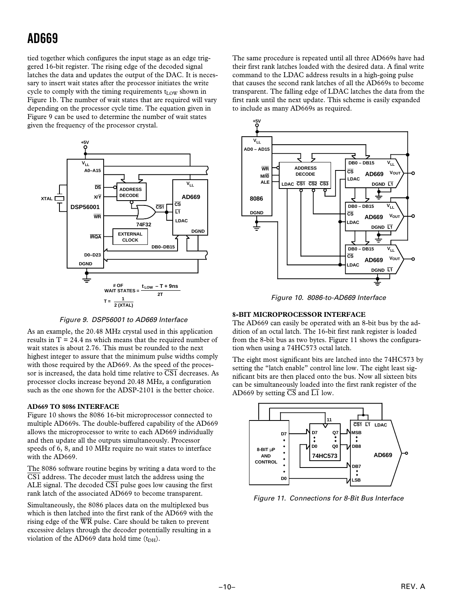tied together which configures the input stage as an edge triggered 16-bit register. The rising edge of the decoded signal latches the data and updates the output of the DAC. It is necessary to insert wait states after the processor initiates the write cycle to comply with the timing requirements t<sub>LOW</sub> shown in Figure 1b. The number of wait states that are required will vary depending on the processor cycle time. The equation given in Figure 9 can be used to determine the number of wait states given the frequency of the processor crystal.



Figure 9. DSP56001 to AD669 Interface

As an example, the 20.48 MHz crystal used in this application results in  $T = 24.4$  ns which means that the required number of wait states is about 2.76. This must be rounded to the next highest integer to assure that the minimum pulse widths comply with those required by the AD669. As the speed of the processor is increased, the data hold time relative to  $\overline{\text{CS1}}$  decreases. As processor clocks increase beyond 20.48 MHz, a configuration such as the one shown for the ADSP-2101 is the better choice.

#### **AD669 TO 8086 INTERFACE**

Figure 10 shows the 8086 16-bit microprocessor connected to multiple AD669s. The double-buffered capability of the AD669 allows the microprocessor to write to each AD669 individually and then update all the outputs simultaneously. Processor speeds of 6, 8, and 10 MHz require no wait states to interface with the AD669.

The 8086 software routine begins by writing a data word to the  $\overline{CS1}$  address. The decoder must latch the address using the ALE signal. The decoded  $\overline{\text{CS1}}$  pulse goes low causing the first rank latch of the associated AD669 to become transparent.

Simultaneously, the 8086 places data on the multiplexed bus which is then latched into the first rank of the AD669 with the rising edge of the  $\overline{WR}$  pulse. Care should be taken to prevent excessive delays through the decoder potentially resulting in a violation of the AD669 data hold time  $(t<sub>DH</sub>)$ .

The same procedure is repeated until all three AD669s have had their first rank latches loaded with the desired data. A final write command to the LDAC address results in a high-going pulse that causes the second rank latches of all the AD669s to become transparent. The falling edge of LDAC latches the data from the first rank until the next update. This scheme is easily expanded to include as many AD669s as required.



Figure 10. 8086-to-AD669 Interface

#### **8-BIT MICROPROCESSOR INTERFACE**

The AD669 can easily be operated with an 8-bit bus by the addition of an octal latch. The 16-bit first rank register is loaded from the 8-bit bus as two bytes. Figure 11 shows the configuration when using a 74HC573 octal latch.

The eight most significant bits are latched into the 74HC573 by setting the "latch enable" control line low. The eight least significant bits are then placed onto the bus. Now all sixteen bits can be simultaneously loaded into the first rank register of the AD669 by setting  $\overline{CS}$  and  $\overline{L1}$  low.



Figure 11. Connections for 8-Bit Bus Interface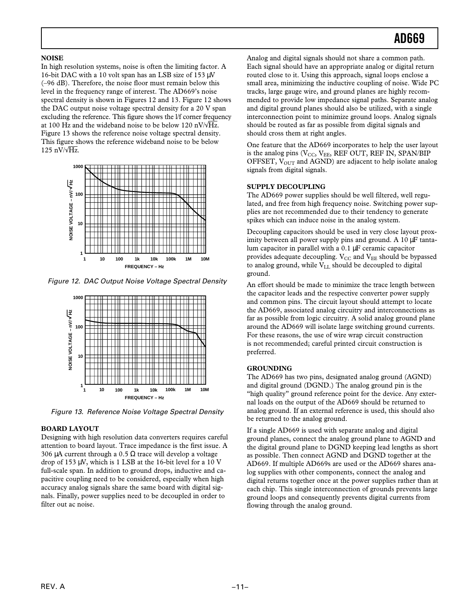#### **NOISE**

In high resolution systems, noise is often the limiting factor. A 16-bit DAC with a 10 volt span has an LSB size of 153 µV (–96 dB). Therefore, the noise floor must remain below this level in the frequency range of interest. The AD669's noise spectral density is shown in Figures 12 and 13. Figure 12 shows the DAC output noise voltage spectral density for a 20 V span excluding the reference. This figure shows the l/f corner frequency at 100 Hz and the wideband noise to be below 120 nV/ $\sqrt{Hz}$ . Figure 13 shows the reference noise voltage spectral density. This figure shows the reference wideband noise to be below 125 nV/ $\sqrt{Hz}$ .



Figure 12. DAC Output Noise Voltage Spectral Density



Figure 13. Reference Noise Voltage Spectral Density

#### **BOARD LAYOUT**

Designing with high resolution data converters requires careful attention to board layout. Trace impedance is the first issue. A 306 μA current through a 0.5 Ω trace will develop a voltage drop of 153 µV, which is 1 LSB at the 16-bit level for a 10 V full-scale span. In addition to ground drops, inductive and capacitive coupling need to be considered, especially when high accuracy analog signals share the same board with digital signals. Finally, power supplies need to be decoupled in order to filter out ac noise.

Analog and digital signals should not share a common path. Each signal should have an appropriate analog or digital return routed close to it. Using this approach, signal loops enclose a small area, minimizing the inductive coupling of noise. Wide PC tracks, large gauge wire, and ground planes are highly recommended to provide low impedance signal paths. Separate analog and digital ground planes should also be utilized, with a single interconnection point to minimize ground loops. Analog signals should be routed as far as possible from digital signals and should cross them at right angles.

One feature that the AD669 incorporates to help the user layout is the analog pins ( $V_{CC}$ ,  $V_{EE}$ , REF OUT, REF IN, SPAN/BIP OFFSET,  $V_{\text{OUT}}$  and AGND) are adjacent to help isolate analog signals from digital signals.

#### **SUPPLY DECOUPLING**

The AD669 power supplies should be well filtered, well regulated, and free from high frequency noise. Switching power supplies are not recommended due to their tendency to generate spikes which can induce noise in the analog system.

Decoupling capacitors should be used in very close layout proximity between all power supply pins and ground. A 10  $\mu$ F tantalum capacitor in parallel with a 0.1 µF ceramic capacitor provides adequate decoupling.  $V_{CC}$  and  $V_{EE}$  should be bypassed to analog ground, while  $V_{LL}$  should be decoupled to digital ground.

An effort should be made to minimize the trace length between the capacitor leads and the respective converter power supply and common pins. The circuit layout should attempt to locate the AD669, associated analog circuitry and interconnections as far as possible from logic circuitry. A solid analog ground plane around the AD669 will isolate large switching ground currents. For these reasons, the use of wire wrap circuit construction is not recommended; careful printed circuit construction is preferred.

#### **GROUNDING**

The AD669 has two pins, designated analog ground (AGND) and digital ground (DGND.) The analog ground pin is the "high quality" ground reference point for the device. Any external loads on the output of the AD669 should be returned to analog ground. If an external reference is used, this should also be returned to the analog ground.

If a single AD669 is used with separate analog and digital ground planes, connect the analog ground plane to AGND and the digital ground plane to DGND keeping lead lengths as short as possible. Then connect AGND and DGND together at the AD669. If multiple AD669s are used or the AD669 shares analog supplies with other components, connect the analog and digital returns together once at the power supplies rather than at each chip. This single interconnection of grounds prevents large ground loops and consequently prevents digital currents from flowing through the analog ground.